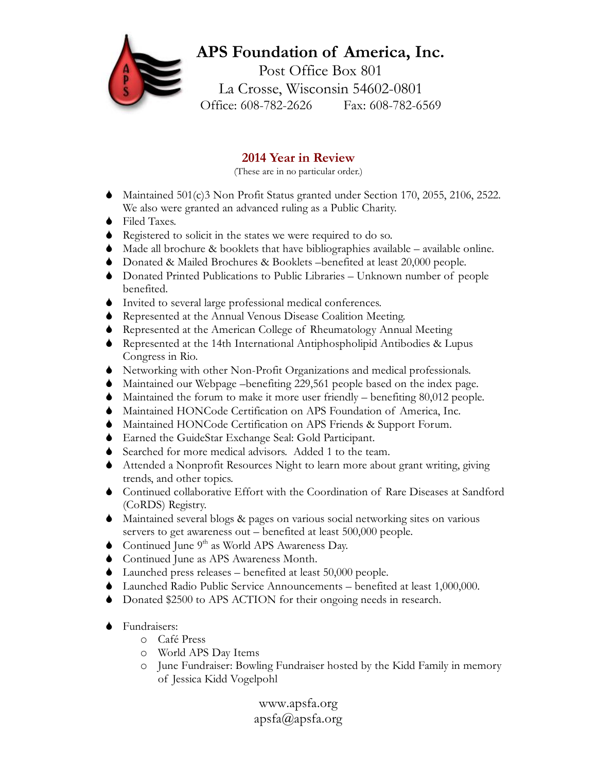## **APS Foundation of America, Inc.** Post Office Box 801 La Crosse, Wisconsin 54602-0801 Office: 608-782-2626 Fax: 608-782-6569

## **2014 Year in Review**

(These are in no particular order.)

- $\blacklozenge$  Maintained 501(c)3 Non Profit Status granted under Section 170, 2055, 2106, 2522. We also were granted an advanced ruling as a Public Charity.
- $\bullet$  Filed Taxes.
- $\bullet$  Registered to solicit in the states we were required to do so.
- $\blacklozenge$  Made all brochure  $\&$  booklets that have bibliographies available available online.
- S Donated & Mailed Brochures & Booklets –benefited at least 20,000 people.
- $\bullet$  Donated Printed Publications to Public Libraries Unknown number of people benefited.
- $\bullet$  Invited to several large professional medical conferences.
- S Represented at the Annual Venous Disease Coalition Meeting.
- S Represented at the American College of Rheumatology Annual Meeting
- S Represented at the 14th International Antiphospholipid Antibodies & Lupus Congress in Rio.
- S Networking with other Non-Profit Organizations and medical professionals.
- S Maintained our Webpage –benefiting 229,561 people based on the index page.
- $\blacklozenge$  Maintained the forum to make it more user friendly benefiting 80,012 people.
- $\blacklozenge$  Maintained HONCode Certification on APS Foundation of America, Inc.
- $\blacklozenge$  Maintained HONCode Certification on APS Friends & Support Forum.
- S Earned the GuideStar Exchange Seal: Gold Participant.
- Searched for more medical advisors. Added 1 to the team.
- S Attended a Nonprofit Resources Night to learn more about grant writing, giving trends, and other topics.
- S Continued collaborative Effort with the Coordination of Rare Diseases at Sandford (CoRDS) Registry.
- $\blacklozenge$  Maintained several blogs & pages on various social networking sites on various servers to get awareness out – benefited at least 500,000 people.
- Continued June  $9<sup>th</sup>$  as World APS Awareness Day.
- $\bullet$  Continued June as APS Awareness Month.
- $\blacklozenge$  Launched press releases benefited at least 50,000 people.
- S Launched Radio Public Service Announcements benefited at least 1,000,000.
- Donated \$2500 to APS ACTION for their ongoing needs in research.
- $\bullet$  Fundraisers:
	- o Café Press
	- o World APS Day Items
	- o June Fundraiser: Bowling Fundraiser hosted by the Kidd Family in memory of Jessica Kidd Vogelpohl

www.apsfa.org apsfa@apsfa.org